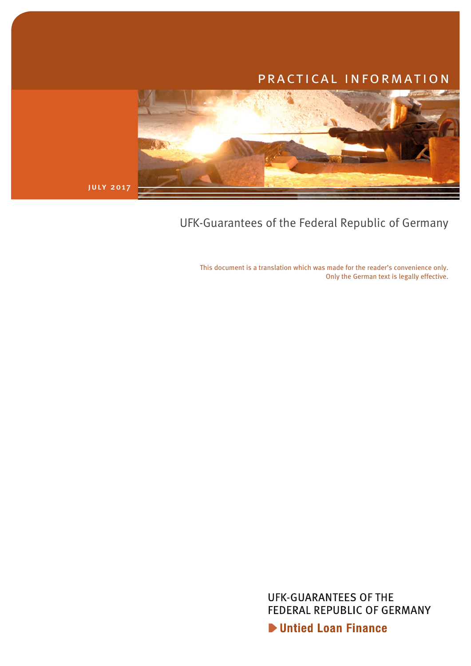# practical information



july 2017

UFK-Guarantees of the Federal Republic of Germany

This document is a translation which was made for the reader's convenience only. Only the German text is legally effective.

> **UFK-GUARANTEES OF THE** FEDERAL REPUBLIC OF GERMANY Untied Loan Finance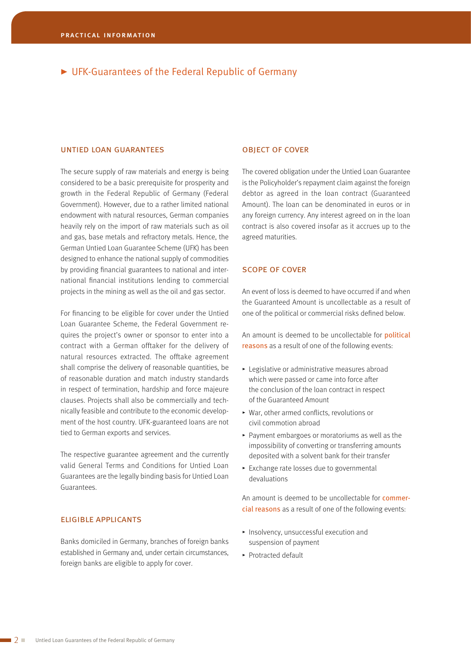# UFK-Guarantees of the Federal Republic of Germany

#### untied loan guarantees

The secure supply of raw materials and energy is being considered to be a basic prerequisite for prosperity and growth in the Federal Republic of Germany (Federal Government). However, due to a rather limited national endowment with natural resources, German companies heavily rely on the import of raw materials such as oil and gas, base metals and refractory metals. Hence, the German Untied Loan Guarantee Scheme (UFK) has been designed to enhance the national supply of commodities by providing financial guarantees to national and international financial institutions lending to commercial projects in the mining as well as the oil and gas sector.

For financing to be eligible for cover under the Untied Loan Guarantee Scheme, the Federal Government requires the project's owner or sponsor to enter into a contract with a German offtaker for the delivery of natural resources extracted. The offtake agreement shall comprise the delivery of reasonable quantities, be of reasonable duration and match industry standards in respect of termination, hardship and force majeure clauses. Projects shall also be commercially and technically feasible and contribute to the economic development of the host country. UFK-guaranteed loans are not tied to German exports and services.

The respective guarantee agreement and the currently valid General Terms and Conditions for Untied Loan Guarantees are the legally binding basis for Untied Loan Guarantees.

## eligible applicants

Banks domiciled in Germany, branches of foreign banks established in Germany and, under certain circumstances, foreign banks are eligible to apply for cover.

#### object of cover

The covered obligation under the Untied Loan Guarantee is the Policyholder's repayment claim against the foreign debtor as agreed in the loan contract (Guaranteed Amount). The loan can be denominated in euros or in any foreign currency. Any interest agreed on in the loan contract is also covered insofar as it accrues up to the agreed maturities.

#### scope of cover

An event of loss is deemed to have occurred if and when the Guaranteed Amount is uncollectable as a result of one of the political or commercial risks defined below.

An amount is deemed to be uncollectable for political reasons as a result of one of the following events:

- $\blacktriangleright$  Legislative or administrative measures abroad which were passed or came into force after the conclusion of the loan contract in respect of the Guaranteed Amount
- ▶ War, other armed conflicts, revolutions or civil commotion abroad
- $\blacktriangleright$  Payment embargoes or moratoriums as well as the impossibility of converting or transferring amounts deposited with a solvent bank for their transfer
- $\blacktriangleright$  Exchange rate losses due to governmental devaluations

An amount is deemed to be uncollectable for commercial reasons as a result of one of the following events:

- $\blacktriangleright$  Insolvency, unsuccessful execution and suspension of payment
- $\blacktriangleright$  Protracted default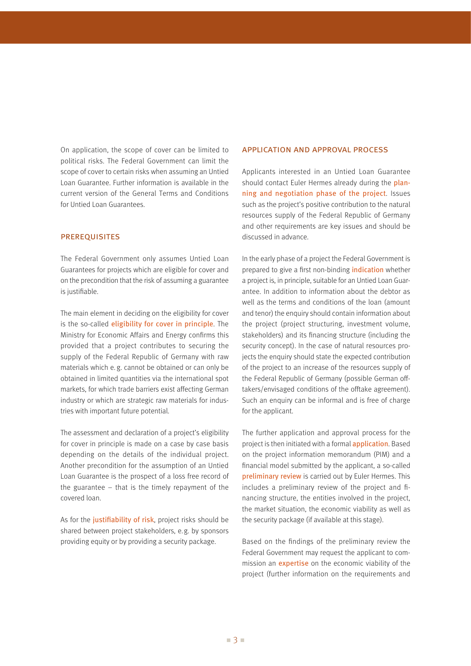On application, the scope of cover can be limited to political risks. The Federal Government can limit the scope of cover to certain risks when assuming an Untied Loan Guarantee. Further information is available in the current version of the General Terms and Conditions for Untied Loan Guarantees.

#### **PREREQUISITES**

The Federal Government only assumes Untied Loan Guarantees for projects which are eligible for cover and on the precondition that the risk of assuming a guarantee is justifiable.

The main element in deciding on the eligibility for cover is the so-called eligibility for cover in principle. The Ministry for Economic Affairs and Energy confirms this provided that a project contributes to securing the supply of the Federal Republic of Germany with raw materials which e. g. cannot be obtained or can only be obtained in limited quantities via the international spot markets, for which trade barriers exist affecting German industry or which are strategic raw materials for industries with important future potential.

The assessment and declaration of a project's eligibility for cover in principle is made on a case by case basis depending on the details of the individual project. Another precondition for the assumption of an Untied Loan Guarantee is the prospect of a loss free record of the guarantee – that is the timely repayment of the covered loan.

As for the justifiability of risk, project risks should be shared between project stakeholders, e.g. by sponsors providing equity or by providing a security package.

#### application and approval process

Applicants interested in an Untied Loan Guarantee should contact Euler Hermes already during the planning and negotiation phase of the project. Issues such as the project's positive contribution to the natural resources supply of the Federal Republic of Germany and other requirements are key issues and should be discussed in advance.

In the early phase of a project the Federal Government is prepared to give a first non-binding *indication* whether a project is, in principle, suitable for an Untied Loan Guarantee. In addition to information about the debtor as well as the terms and conditions of the loan (amount and tenor) the enquiry should contain information about the project (project structuring, investment volume, stakeholders) and its financing structure (including the security concept). In the case of natural resources projects the enquiry should state the expected contribution of the project to an increase of the resources supply of the Federal Republic of Germany (possible German offtakers/envisaged conditions of the offtake agreement). Such an enquiry can be informal and is free of charge for the applicant.

The further application and approval process for the project is then initiated with a formal application. Based on the project information memorandum (PIM) and a financial model submitted by the applicant, a so-called preliminary review is carried out by Euler Hermes. This includes a preliminary review of the project and financing structure, the entities involved in the project, the market situation, the economic viability as well as the security package (if available at this stage).

Based on the findings of the preliminary review the Federal Government may request the applicant to commission an expertise on the economic viability of the project (further information on the requirements and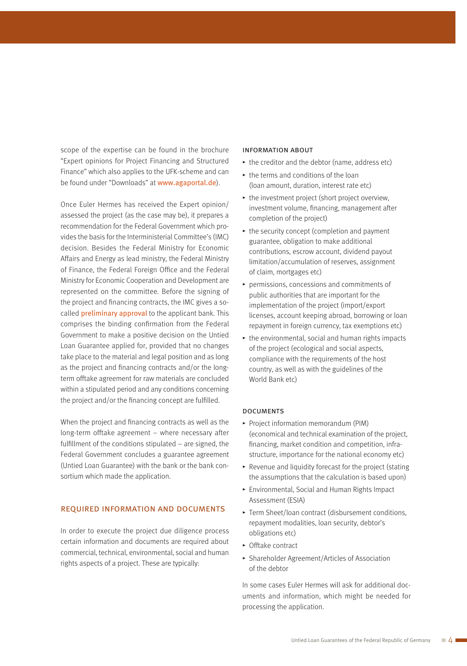scope of the expertise can be found in the brochure "Expert opinions for Project Financing and Structured Finance" which also applies to the UFK-scheme and can be found under "Downloads" at www.agaportal.de).

Once Euler Hermes has received the Expert opinion/ assessed the project (as the case may be), it prepares a recommendation for the Federal Government which provides the basis for the Interministerial Committee's (IMC) decision. Besides the Federal Ministry for Economic Affairs and Energy as lead ministry, the Federal Ministry of Finance, the Federal Foreign Office and the Federal Ministry for Economic Cooperation and Development are represented on the committee. Before the signing of the project and financing contracts, the IMC gives a so-called **preliminary approval** to the applicant bank. This comprises the binding confirmation from the Federal Government to make a positive decision on the Untied Loan Guarantee applied for, provided that no changes take place to the material and legal position and as long as the project and financing contracts and/or the longterm offtake agreement for raw materials are concluded within a stipulated period and any conditions concerning the project and/or the financing concept are fulfilled.

When the project and financing contracts as well as the long-term offtake agreement – where necessary after fulfillment of the conditions stipulated  $-$  are signed, the Federal Government concludes a guarantee agreement (Untied Loan Guarantee) with the bank or the bank consortium which made the application.

#### required information and documents

In order to execute the project due diligence process certain information and documents are required about commercial, technical, environmental, social and human rights aspects of a project. These are typically:

#### information about

- $\blacktriangleright$  the creditor and the debtor (name, address etc)
- $\rightarrow$  the terms and conditions of the loan (loan amount, duration, interest rate etc)
- $\blacktriangleright$  the investment project (short project overview, investment volume, financing, management after completion of the project)
- $\rightarrow$  the security concept (completion and payment guarantee, obligation to make additional contributions, escrow account, dividend payout limitation/accumulation of reserves, assignment of claim, mortgages etc)
- $\triangleright$  permissions, concessions and commitments of public authorities that are important for the implementation of the project (import/export licenses, account keeping abroad, borrowing or loan repayment in foreign currency, tax exemptions etc)
- $\rightarrow$  the environmental, social and human rights impacts of the project (ecological and social aspects, compliance with the requirements of the host country, as well as with the guidelines of the World Bank etc)

#### **DOCUMENTS**

- Project information memorandum (PIM) (economical and technical examination of the project, financing, market condition and competition, infrastructure, importance for the national economy etc)
- $\blacktriangleright$  Revenue and liquidity forecast for the project (stating the assumptions that the calculation is based upon)
- **Environmental, Social and Human Rights Impact** Assessment (ESIA)
- ▶ Term Sheet/loan contract (disbursement conditions, repayment modalities, loan security, debtor's obligations etc)
- $\triangleright$  Offtake contract
- ▶ Shareholder Agreement/Articles of Association of the debtor

In some cases Euler Hermes will ask for additional documents and information, which might be needed for processing the application.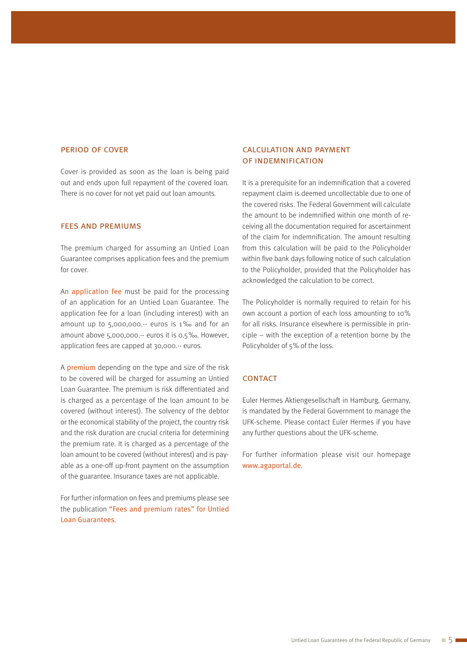#### period of cover

Cover is provided as soon as the loan is being paid out and ends upon full repayment of the covered loan. There is no cover for not yet paid out loan amounts.

#### fees and premiums

The premium charged for assuming an Untied Loan Guarantee comprises application fees and the premium for cover.

An application fee must be paid for the processing of an application for an Untied Loan Guarantee. The application fee for a loan (including interest) with an amount up to 5,000,000.-- euros is 1‰ and for an amount above 5,000,000.-- euros it is 0.5‰. However, application fees are capped at 30,000.-- euros.

A premium depending on the type and size of the risk to be covered will be charged for assuming an Untied Loan Guarantee. The premium is risk differentiated and is charged as a percentage of the loan amount to be covered (without interest). The solvency of the debtor or the economical stability of the project, the country risk and the risk duration are crucial criteria for determining the premium rate. It is charged as a percentage of the loan amount to be covered (without interest) and is payable as a one-off up-front payment on the assumption of the guarantee. Insurance taxes are not applicable.

For further information on fees and premiums please see the publication "Fees and premium rates" for Untied Loan Guarantees.

## calculation and payment of indemnification

It is a prerequisite for an indemnification that a covered repayment claim is deemed uncollectable due to one of the covered risks. The Federal Government will calculate the amount to be indemnified within one month of receiving all the documentation required for ascertainment of the claim for indemnification. The amount resulting from this calculation will be paid to the Policyholder within five bank days following notice of such calculation to the Policyholder, provided that the Policyholder has acknowledged the calculation to be correct.

The Policyholder is normally required to retain for his own account a portion of each loss amounting to 10% for all risks. Insurance elsewhere is permissible in principle – with the exception of a retention borne by the Policyholder of 5% of the loss.

#### **CONTACT**

Euler Hermes Aktiengesellschaft in Hamburg, Germany, is mandated by the Federal Government to manage the UFK-scheme. Please contact Euler Hermes if you have any further questions about the UFK-scheme.

For further information please visit our homepage www.agaportal.de.